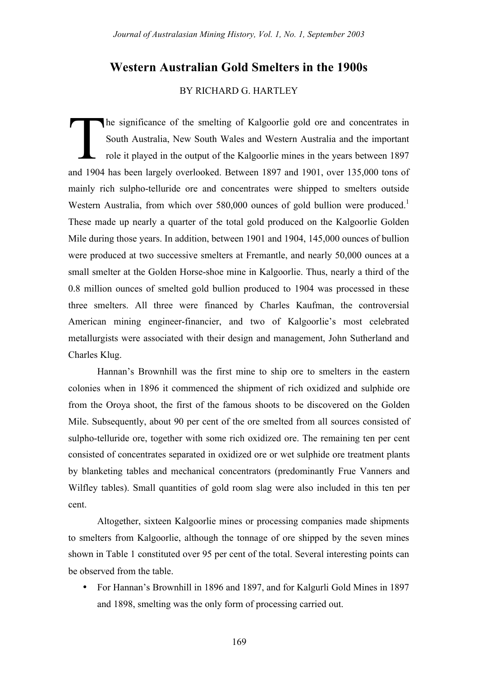# **Western Australian Gold Smelters in the 1900s**

# BY RICHARD G. HARTLEY

he significance of the smelting of Kalgoorlie gold ore and concentrates in South Australia, New South Wales and Western Australia and the important role it played in the output of the Kalgoorlie mines in the years between 1897 and 1904 has been largely overlooked. Between 1897 and 1901, over 135,000 tons of mainly rich sulpho-telluride ore and concentrates were shipped to smelters outside Western Australia, from which over 580,000 ounces of gold bullion were produced.<sup>1</sup> These made up nearly a quarter of the total gold produced on the Kalgoorlie Golden Mile during those years. In addition, between 1901 and 1904, 145,000 ounces of bullion were produced at two successive smelters at Fremantle, and nearly 50,000 ounces at a small smelter at the Golden Horse-shoe mine in Kalgoorlie. Thus, nearly a third of the 0.8 million ounces of smelted gold bullion produced to 1904 was processed in these three smelters. All three were financed by Charles Kaufman, the controversial American mining engineer-financier, and two of Kalgoorlie's most celebrated metallurgists were associated with their design and management, John Sutherland and Charles Klug.  $\prod_{\substack{1,1,2,3,4}}$ 

Hannan's Brownhill was the first mine to ship ore to smelters in the eastern colonies when in 1896 it commenced the shipment of rich oxidized and sulphide ore from the Oroya shoot, the first of the famous shoots to be discovered on the Golden Mile. Subsequently, about 90 per cent of the ore smelted from all sources consisted of sulpho-telluride ore, together with some rich oxidized ore. The remaining ten per cent consisted of concentrates separated in oxidized ore or wet sulphide ore treatment plants by blanketing tables and mechanical concentrators (predominantly Frue Vanners and Wilfley tables). Small quantities of gold room slag were also included in this ten per cent.

Altogether, sixteen Kalgoorlie mines or processing companies made shipments to smelters from Kalgoorlie, although the tonnage of ore shipped by the seven mines shown in Table 1 constituted over 95 per cent of the total. Several interesting points can be observed from the table.

• For Hannan's Brownhill in 1896 and 1897, and for Kalgurli Gold Mines in 1897 and 1898, smelting was the only form of processing carried out.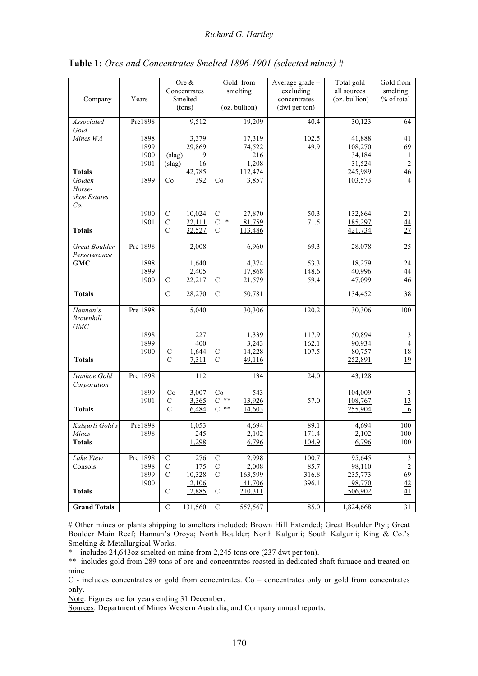|                     |          | Ore &                         |              | Gold from               |               | Average grade - | Total gold    | Gold from       |
|---------------------|----------|-------------------------------|--------------|-------------------------|---------------|-----------------|---------------|-----------------|
|                     |          |                               | Concentrates |                         | smelting      | excluding       | all sources   | smelting        |
| Company             | Years    | Smelted                       |              |                         |               | concentrates    | (oz. bullion) | % of total      |
|                     |          |                               | (tons)       |                         | (oz. bullion) | (dwt per ton)   |               |                 |
| Associated          | Pre1898  |                               | 9,512        |                         | 19,209        | 40.4            | 30,123        | 64              |
| Gold                |          |                               |              |                         |               |                 |               |                 |
| Mines WA            | 1898     |                               | 3,379        |                         | 17,319        | 102.5           | 41,888        | 41              |
|                     | 1899     |                               | 29,869       |                         | 74,522        | 49.9            | 108,270       | 69              |
|                     | 1900     | (slag)                        | 9            |                         | 216           |                 | 34,184        | 1               |
|                     | 1901     | (slag)                        | <u>16</u>    |                         | 1,208         |                 | 31,524        | $\overline{2}$  |
| <b>Totals</b>       |          |                               | 42,785       |                         | 112,474       |                 | 245,989       | $\overline{46}$ |
| Golden              | 1899     | Co                            | 392          | Co                      | 3,857         |                 | 103,573       | 4               |
| Horse-              |          |                               |              |                         |               |                 |               |                 |
| shoe Estates        |          |                               |              |                         |               |                 |               |                 |
| Co.                 |          |                               |              |                         |               |                 |               |                 |
|                     | 1900     | $\mathcal{C}$                 | 10,024       | $\mathcal{C}$<br>$\ast$ | 27,870        | 50.3            | 132,864       | 21              |
|                     | 1901     | $\mathsf{C}$<br>$\mathcal{C}$ | 22,111       | $\mathbf C$             | 81,759        | 71.5            | 185,297       | $\overline{44}$ |
| <b>Totals</b>       |          |                               | 32,527       | $\mathsf{C}$            | 113,486       |                 | 421.734       | 27              |
| Great Boulder       | Pre 1898 |                               | 2,008        |                         | 6,960         | 69.3            | 28.078        | 25              |
| Perseverance        |          |                               |              |                         |               |                 |               |                 |
| <b>GMC</b>          | 1898     |                               | 1,640        |                         | 4,374         | 53.3            | 18,279        | 24              |
|                     | 1899     |                               | 2,405        |                         | 17,868        | 148.6           | 40,996        | 44              |
|                     | 1900     | C                             | 22,217       | $\mathcal{C}$           | 21,579        | 59.4            | 47,099        | $\frac{46}{5}$  |
|                     |          |                               |              |                         |               |                 |               |                 |
| <b>Totals</b>       |          | $\mathcal{C}$                 | 28,270       | $\mathcal{C}$           | 50,781        |                 | 134,452       | 38              |
| Hannan's            | Pre 1898 |                               | 5,040        |                         | 30,306        | 120.2           | 30,306        | 100             |
| <b>Brownhill</b>    |          |                               |              |                         |               |                 |               |                 |
| <b>GMC</b>          |          |                               |              |                         |               |                 |               |                 |
|                     | 1898     |                               | 227          |                         | 1,339         | 117.9           | 50,894        | 3               |
|                     | 1899     |                               | 400          |                         | 3,243         | 162.1           | 90.934        | $\overline{4}$  |
|                     | 1900     | $\mathbf C$                   | 1,644        | $\mathbf C$             | 14,228        | 107.5           | 80,757        | 18              |
| <b>Totals</b>       |          | $\mathcal{C}$                 | 7,311        | $\mathsf{C}$            | 49,116        |                 | 252,891       | 19              |
| Ivanhoe Gold        | Pre 1898 |                               | 112          |                         | 134           | 24.0            | 43,128        |                 |
| Corporation         |          |                               |              |                         |               |                 |               |                 |
|                     | 1899     | Co                            | 3,007        | Co                      | 543           |                 | 104,009       | 3               |
|                     | 1901     | $\mathbf C$                   | 3,365        | $C$ **                  | 13,926        | 57.0            | 108,767       | 13              |
| <b>Totals</b>       |          | $\mathcal{C}$                 | 6,484        | $C$ **                  | 14,603        |                 | 255,904       | 6               |
|                     |          |                               |              |                         |               |                 |               |                 |
| Kalgurli Gold s     | Pre1898  |                               | 1,053        |                         | 4,694         | 89.1            | 4,694         | 100             |
| Mines               | 1898     |                               | 245          |                         | 2,102         | 171.4           | 2,102         | 100             |
| <b>Totals</b>       |          |                               | 1,298        |                         | 6,796         | 104.9           | 6,796         | 100             |
| Lake View           | Pre 1898 | $\mathbf C$                   | 276          | $\mathbf C$             | 2,998         | 100.7           | 95,645        | $\mathfrak{Z}$  |
| Consols             | 1898     | $\mathbf C$                   | 175          | $\mathbf C$             | 2,008         | 85.7            | 98,110        | $\sqrt{2}$      |
|                     | 1899     | $\mathcal{C}$                 | 10,328       | $\mathsf{C}$            | 163,599       | 316.8           | 235,773       | 69              |
|                     | 1900     |                               | 2,106        |                         | 41,706        | 396.1           | 98,770        | 42              |
| <b>Totals</b>       |          | $\mathsf{C}$                  | 12,885       | $\mathsf C$             | 210,311       |                 | 506,902       | 41              |
|                     |          |                               |              |                         |               |                 |               |                 |
| <b>Grand Totals</b> |          | C                             | 131,560      | $\mathbf C$             | 557,567       | 85.0            | 1,824,668     | 31              |

**Table 1:** *Ores and Concentrates Smelted 1896-1901 (selected mines) #*

# Other mines or plants shipping to smelters included: Brown Hill Extended; Great Boulder Pty.; Great Boulder Main Reef; Hannan's Oroya; North Boulder; North Kalgurli; South Kalgurli; King & Co.'s Smelting & Metallurgical Works.

\* includes 24,643oz smelted on mine from 2,245 tons ore (237 dwt per ton).

\*\* includes gold from 289 tons of ore and concentrates roasted in dedicated shaft furnace and treated on mine

C - includes concentrates or gold from concentrates. Co – concentrates only or gold from concentrates only.

Note: Figures are for years ending 31 December.

Sources: Department of Mines Western Australia, and Company annual reports.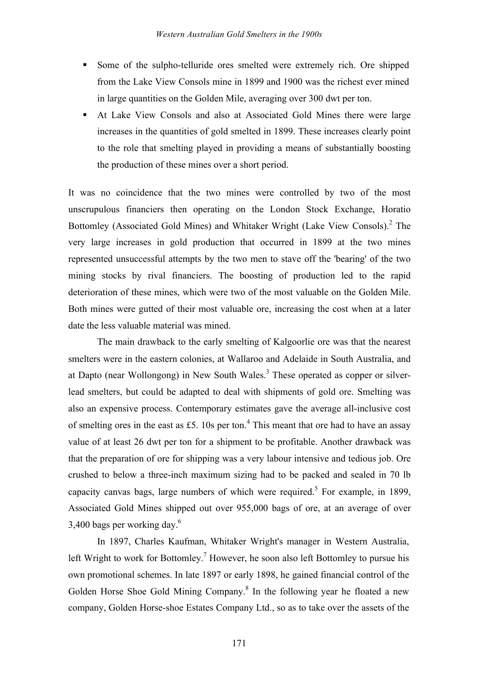- ! Some of the sulpho-telluride ores smelted were extremely rich. Ore shipped from the Lake View Consols mine in 1899 and 1900 was the richest ever mined in large quantities on the Golden Mile, averaging over 300 dwt per ton.
- ! At Lake View Consols and also at Associated Gold Mines there were large increases in the quantities of gold smelted in 1899. These increases clearly point to the role that smelting played in providing a means of substantially boosting the production of these mines over a short period.

It was no coincidence that the two mines were controlled by two of the most unscrupulous financiers then operating on the London Stock Exchange, Horatio Bottomley (Associated Gold Mines) and Whitaker Wright (Lake View Consols).<sup>2</sup> The very large increases in gold production that occurred in 1899 at the two mines represented unsuccessful attempts by the two men to stave off the 'bearing' of the two mining stocks by rival financiers. The boosting of production led to the rapid deterioration of these mines, which were two of the most valuable on the Golden Mile. Both mines were gutted of their most valuable ore, increasing the cost when at a later date the less valuable material was mined.

The main drawback to the early smelting of Kalgoorlie ore was that the nearest smelters were in the eastern colonies, at Wallaroo and Adelaide in South Australia, and at Dapto (near Wollongong) in New South Wales.<sup>3</sup> These operated as copper or silverlead smelters, but could be adapted to deal with shipments of gold ore. Smelting was also an expensive process. Contemporary estimates gave the average all-inclusive cost of smelting ores in the east as £5. 10s per ton.<sup>4</sup> This meant that ore had to have an assay value of at least 26 dwt per ton for a shipment to be profitable. Another drawback was that the preparation of ore for shipping was a very labour intensive and tedious job. Ore crushed to below a three-inch maximum sizing had to be packed and sealed in 70 lb capacity canvas bags, large numbers of which were required.<sup>5</sup> For example, in 1899, Associated Gold Mines shipped out over 955,000 bags of ore, at an average of over 3,400 bags per working day. $6\%$ 

In 1897, Charles Kaufman, Whitaker Wright's manager in Western Australia, left Wright to work for Bottomley.<sup>7</sup> However, he soon also left Bottomley to pursue his own promotional schemes. In late 1897 or early 1898, he gained financial control of the Golden Horse Shoe Gold Mining Company.<sup>8</sup> In the following year he floated a new company, Golden Horse-shoe Estates Company Ltd., so as to take over the assets of the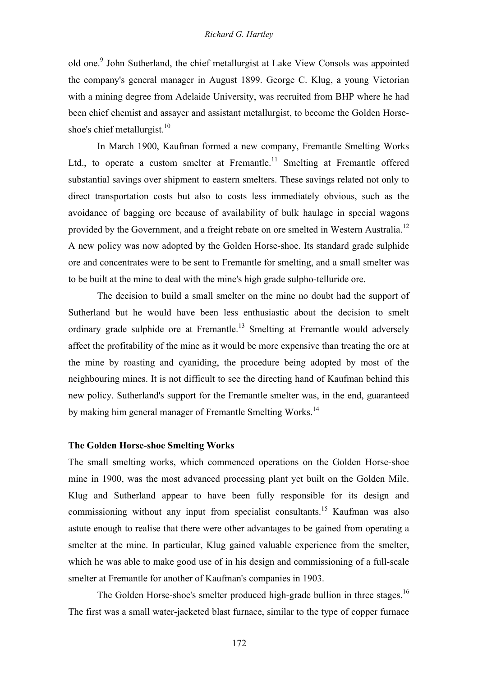old one.9 John Sutherland, the chief metallurgist at Lake View Consols was appointed the company's general manager in August 1899. George C. Klug, a young Victorian with a mining degree from Adelaide University, was recruited from BHP where he had been chief chemist and assayer and assistant metallurgist, to become the Golden Horseshoe's chief metallurgist. $10$ 

In March 1900, Kaufman formed a new company, Fremantle Smelting Works Ltd., to operate a custom smelter at Fremantle.<sup>11</sup> Smelting at Fremantle offered substantial savings over shipment to eastern smelters. These savings related not only to direct transportation costs but also to costs less immediately obvious, such as the avoidance of bagging ore because of availability of bulk haulage in special wagons provided by the Government, and a freight rebate on ore smelted in Western Australia.<sup>12</sup> A new policy was now adopted by the Golden Horse-shoe. Its standard grade sulphide ore and concentrates were to be sent to Fremantle for smelting, and a small smelter was to be built at the mine to deal with the mine's high grade sulpho-telluride ore.

The decision to build a small smelter on the mine no doubt had the support of Sutherland but he would have been less enthusiastic about the decision to smelt ordinary grade sulphide ore at Fremantle.<sup>13</sup> Smelting at Fremantle would adversely affect the profitability of the mine as it would be more expensive than treating the ore at the mine by roasting and cyaniding, the procedure being adopted by most of the neighbouring mines. It is not difficult to see the directing hand of Kaufman behind this new policy. Sutherland's support for the Fremantle smelter was, in the end, guaranteed by making him general manager of Fremantle Smelting Works.<sup>14</sup>

#### **The Golden Horse-shoe Smelting Works**

The small smelting works, which commenced operations on the Golden Horse-shoe mine in 1900, was the most advanced processing plant yet built on the Golden Mile. Klug and Sutherland appear to have been fully responsible for its design and commissioning without any input from specialist consultants.<sup>15</sup> Kaufman was also astute enough to realise that there were other advantages to be gained from operating a smelter at the mine. In particular, Klug gained valuable experience from the smelter, which he was able to make good use of in his design and commissioning of a full-scale smelter at Fremantle for another of Kaufman's companies in 1903.

The Golden Horse-shoe's smelter produced high-grade bullion in three stages.<sup>16</sup> The first was a small water-jacketed blast furnace, similar to the type of copper furnace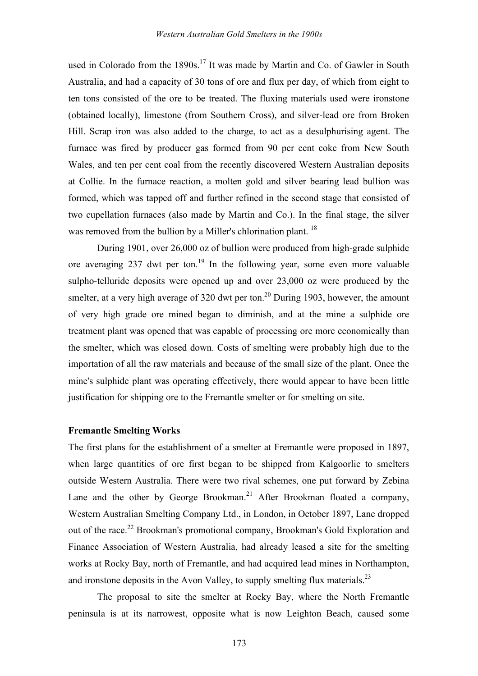used in Colorado from the  $1890s$ .<sup>17</sup> It was made by Martin and Co. of Gawler in South Australia, and had a capacity of 30 tons of ore and flux per day, of which from eight to ten tons consisted of the ore to be treated. The fluxing materials used were ironstone (obtained locally), limestone (from Southern Cross), and silver-lead ore from Broken Hill. Scrap iron was also added to the charge, to act as a desulphurising agent. The furnace was fired by producer gas formed from 90 per cent coke from New South Wales, and ten per cent coal from the recently discovered Western Australian deposits at Collie. In the furnace reaction, a molten gold and silver bearing lead bullion was formed, which was tapped off and further refined in the second stage that consisted of two cupellation furnaces (also made by Martin and Co.). In the final stage, the silver was removed from the bullion by a Miller's chlorination plant.<sup>18</sup>

During 1901, over 26,000 oz of bullion were produced from high-grade sulphide ore averaging 237 dwt per ton.<sup>19</sup> In the following year, some even more valuable sulpho-telluride deposits were opened up and over 23,000 oz were produced by the smelter, at a very high average of 320 dwt per ton.<sup>20</sup> During 1903, however, the amount of very high grade ore mined began to diminish, and at the mine a sulphide ore treatment plant was opened that was capable of processing ore more economically than the smelter, which was closed down. Costs of smelting were probably high due to the importation of all the raw materials and because of the small size of the plant. Once the mine's sulphide plant was operating effectively, there would appear to have been little justification for shipping ore to the Fremantle smelter or for smelting on site.

#### **Fremantle Smelting Works**

The first plans for the establishment of a smelter at Fremantle were proposed in 1897, when large quantities of ore first began to be shipped from Kalgoorlie to smelters outside Western Australia. There were two rival schemes, one put forward by Zebina Lane and the other by George Brookman.<sup>21</sup> After Brookman floated a company, Western Australian Smelting Company Ltd., in London, in October 1897, Lane dropped out of the race.<sup>22</sup> Brookman's promotional company, Brookman's Gold Exploration and Finance Association of Western Australia, had already leased a site for the smelting works at Rocky Bay, north of Fremantle, and had acquired lead mines in Northampton, and ironstone deposits in the Avon Valley, to supply smelting flux materials.<sup>23</sup>

The proposal to site the smelter at Rocky Bay, where the North Fremantle peninsula is at its narrowest, opposite what is now Leighton Beach, caused some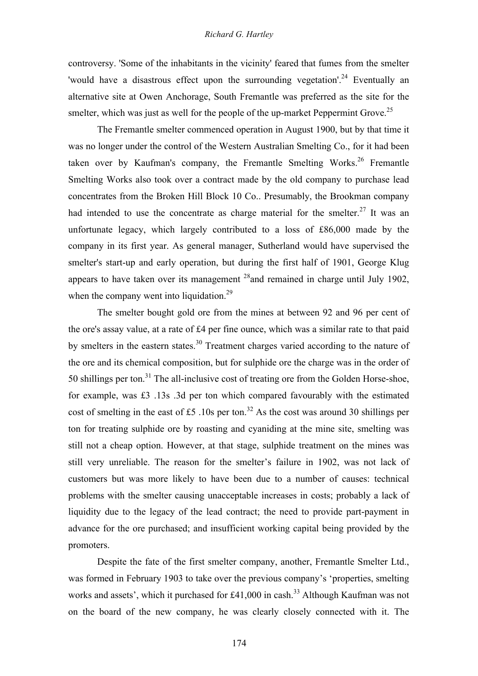## *Richard G. Hartley*

controversy. 'Some of the inhabitants in the vicinity' feared that fumes from the smelter 'would have a disastrous effect upon the surrounding vegetation'.<sup>24</sup> Eventually an alternative site at Owen Anchorage, South Fremantle was preferred as the site for the smelter, which was just as well for the people of the up-market Peppermint Grove.<sup>25</sup>

The Fremantle smelter commenced operation in August 1900, but by that time it was no longer under the control of the Western Australian Smelting Co., for it had been taken over by Kaufman's company, the Fremantle Smelting Works.<sup>26</sup> Fremantle Smelting Works also took over a contract made by the old company to purchase lead concentrates from the Broken Hill Block 10 Co.. Presumably, the Brookman company had intended to use the concentrate as charge material for the smelter.<sup>27</sup> It was an unfortunate legacy, which largely contributed to a loss of £86,000 made by the company in its first year. As general manager, Sutherland would have supervised the smelter's start-up and early operation, but during the first half of 1901, George Klug appears to have taken over its management  $^{28}$  and remained in charge until July 1902, when the company went into liquidation.<sup>29</sup>

The smelter bought gold ore from the mines at between 92 and 96 per cent of the ore's assay value, at a rate of £4 per fine ounce, which was a similar rate to that paid by smelters in the eastern states.<sup>30</sup> Treatment charges varied according to the nature of the ore and its chemical composition, but for sulphide ore the charge was in the order of 50 shillings per ton. $31$  The all-inclusive cost of treating ore from the Golden Horse-shoe, for example, was £3 .13s .3d per ton which compared favourably with the estimated cost of smelting in the east of £5,10s per ton.<sup>32</sup> As the cost was around 30 shillings per ton for treating sulphide ore by roasting and cyaniding at the mine site, smelting was still not a cheap option. However, at that stage, sulphide treatment on the mines was still very unreliable. The reason for the smelter's failure in 1902, was not lack of customers but was more likely to have been due to a number of causes: technical problems with the smelter causing unacceptable increases in costs; probably a lack of liquidity due to the legacy of the lead contract; the need to provide part-payment in advance for the ore purchased; and insufficient working capital being provided by the promoters.

Despite the fate of the first smelter company, another, Fremantle Smelter Ltd., was formed in February 1903 to take over the previous company's 'properties, smelting works and assets', which it purchased for  $\text{\pounds}41,000$  in cash.<sup>33</sup> Although Kaufman was not on the board of the new company, he was clearly closely connected with it. The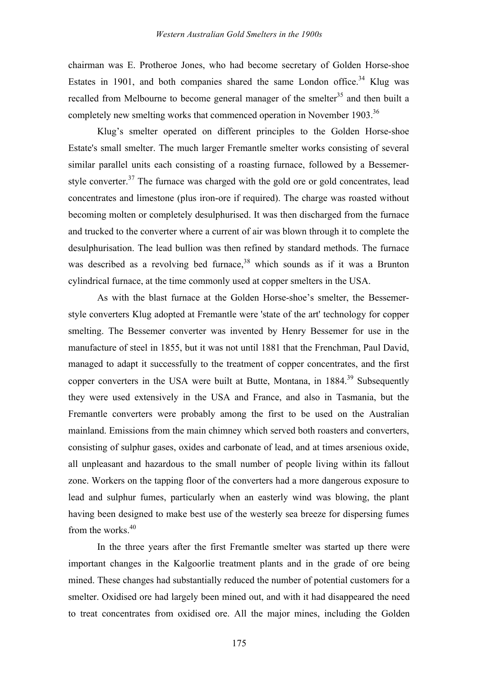chairman was E. Protheroe Jones, who had become secretary of Golden Horse-shoe Estates in 1901, and both companies shared the same London office.<sup>34</sup> Klug was recalled from Melbourne to become general manager of the smelter<sup>35</sup> and then built a completely new smelting works that commenced operation in November 1903.<sup>36</sup>

Klug's smelter operated on different principles to the Golden Horse-shoe Estate's small smelter. The much larger Fremantle smelter works consisting of several similar parallel units each consisting of a roasting furnace, followed by a Bessemerstyle converter.<sup>37</sup> The furnace was charged with the gold ore or gold concentrates, lead concentrates and limestone (plus iron-ore if required). The charge was roasted without becoming molten or completely desulphurised. It was then discharged from the furnace and trucked to the converter where a current of air was blown through it to complete the desulphurisation. The lead bullion was then refined by standard methods. The furnace was described as a revolving bed furnace,  $38$  which sounds as if it was a Brunton cylindrical furnace, at the time commonly used at copper smelters in the USA.

As with the blast furnace at the Golden Horse-shoe's smelter, the Bessemerstyle converters Klug adopted at Fremantle were 'state of the art' technology for copper smelting. The Bessemer converter was invented by Henry Bessemer for use in the manufacture of steel in 1855, but it was not until 1881 that the Frenchman, Paul David, managed to adapt it successfully to the treatment of copper concentrates, and the first copper converters in the USA were built at Butte, Montana, in 1884.<sup>39</sup> Subsequently they were used extensively in the USA and France, and also in Tasmania, but the Fremantle converters were probably among the first to be used on the Australian mainland. Emissions from the main chimney which served both roasters and converters, consisting of sulphur gases, oxides and carbonate of lead, and at times arsenious oxide, all unpleasant and hazardous to the small number of people living within its fallout zone. Workers on the tapping floor of the converters had a more dangerous exposure to lead and sulphur fumes, particularly when an easterly wind was blowing, the plant having been designed to make best use of the westerly sea breeze for dispersing fumes from the works  $40$ 

In the three years after the first Fremantle smelter was started up there were important changes in the Kalgoorlie treatment plants and in the grade of ore being mined. These changes had substantially reduced the number of potential customers for a smelter. Oxidised ore had largely been mined out, and with it had disappeared the need to treat concentrates from oxidised ore. All the major mines, including the Golden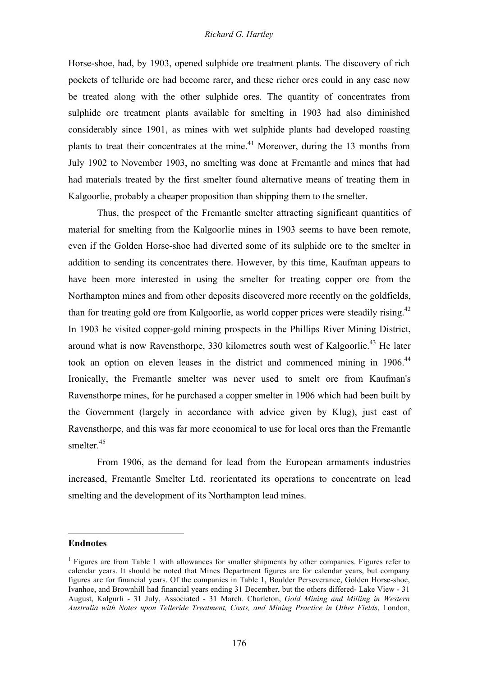## *Richard G. Hartley*

Horse-shoe, had, by 1903, opened sulphide ore treatment plants. The discovery of rich pockets of telluride ore had become rarer, and these richer ores could in any case now be treated along with the other sulphide ores. The quantity of concentrates from sulphide ore treatment plants available for smelting in 1903 had also diminished considerably since 1901, as mines with wet sulphide plants had developed roasting plants to treat their concentrates at the mine.<sup>41</sup> Moreover, during the 13 months from July 1902 to November 1903, no smelting was done at Fremantle and mines that had had materials treated by the first smelter found alternative means of treating them in Kalgoorlie, probably a cheaper proposition than shipping them to the smelter.

Thus, the prospect of the Fremantle smelter attracting significant quantities of material for smelting from the Kalgoorlie mines in 1903 seems to have been remote, even if the Golden Horse-shoe had diverted some of its sulphide ore to the smelter in addition to sending its concentrates there. However, by this time, Kaufman appears to have been more interested in using the smelter for treating copper ore from the Northampton mines and from other deposits discovered more recently on the goldfields, than for treating gold ore from Kalgoorlie, as world copper prices were steadily rising.<sup>42</sup> In 1903 he visited copper-gold mining prospects in the Phillips River Mining District, around what is now Ravensthorpe, 330 kilometres south west of Kalgoorlie.<sup>43</sup> He later took an option on eleven leases in the district and commenced mining in 1906.<sup>44</sup> Ironically, the Fremantle smelter was never used to smelt ore from Kaufman's Ravensthorpe mines, for he purchased a copper smelter in 1906 which had been built by the Government (largely in accordance with advice given by Klug), just east of Ravensthorpe, and this was far more economical to use for local ores than the Fremantle smelter.<sup>45</sup>

From 1906, as the demand for lead from the European armaments industries increased, Fremantle Smelter Ltd. reorientated its operations to concentrate on lead smelting and the development of its Northampton lead mines.

#### **Endnotes**

l

<sup>&</sup>lt;sup>1</sup> Figures are from Table 1 with allowances for smaller shipments by other companies. Figures refer to calendar years. It should be noted that Mines Department figures are for calendar years, but company figures are for financial years. Of the companies in Table 1, Boulder Perseverance, Golden Horse-shoe, Ivanhoe, and Brownhill had financial years ending 31 December, but the others differed- Lake View - 31 August, Kalgurli - 31 July, Associated - 31 March. Charleton, *Gold Mining and Milling in Western Australia with Notes upon Telleride Treatment, Costs, and Mining Practice in Other Fields*, London,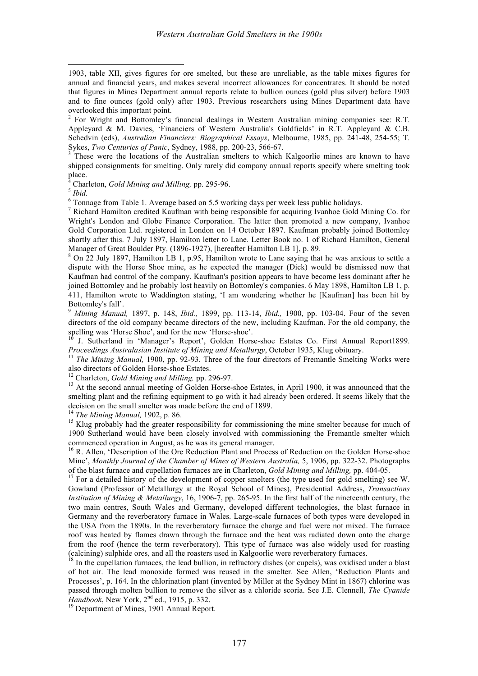1903, table XII, gives figures for ore smelted, but these are unreliable, as the table mixes figures for annual and financial years, and makes several incorrect allowances for concentrates. It should be noted that figures in Mines Department annual reports relate to bullion ounces (gold plus silver) before 1903 and to fine ounces (gold only) after 1903. Previous researchers using Mines Department data have overlooked this important point.<br><sup>2</sup> For Wright and Bottomley's financial dealings in Western Australian mining companies see: R.T.

Appleyard & M. Davies, 'Financiers of Western Australia's Goldfields' in R.T. Appleyard & C.B. Schedvin (eds), *Australian Financiers: Biographical Essays*, Melbourne, 1985, pp. 241-48, 254-55; T. Sykes, *Two Centuries of Panic*, Sydney, 1988, pp. 200-23, 566-67.<br><sup>3</sup> These were the locations of the Australian smelters to which Kalgoorlie mines are known to have

shipped consignments for smelting. Only rarely did company annual reports specify where smelting took place.<br><sup>4</sup> Charleton, *Gold Mining and Milling*, pp. 295-96.

l

 $\frac{1}{5}$  Hold.<br>
<sup>6</sup> Tonnage from Table 1. Average based on 5.5 working days per week less public holidays.<br>
<sup>6</sup> Tonnage from Table 1. Average based on 5.5 working days per week less public holidays.<br>
<sup>7</sup> Richard Hamilton Wright's London and Globe Finance Corporation. The latter then promoted a new company, Ivanhoe Gold Corporation Ltd. registered in London on 14 October 1897. Kaufman probably joined Bottomley shortly after this. 7 July 1897, Hamilton letter to Lane. Letter Book no. 1 of Richard Hamilton, General Manager of Great Boulder Pty. (1896-1927), [hereafter Hamilton LB 1], p. 89.<br><sup>8</sup> On 22 July 1897, Hamilton LB 1, p.95, Hamilton wrote to Lane saying that he was anxious to settle a

dispute with the Horse Shoe mine, as he expected the manager (Dick) would be dismissed now that Kaufman had control of the company. Kaufman's position appears to have become less dominant after he joined Bottomley and he probably lost heavily on Bottomley's companies. 6 May 1898, Hamilton LB 1, p. 411, Hamilton wrote to Waddington stating, 'I am wondering whether he [Kaufman] has been hit by Bottomley's fall'. <sup>9</sup> *Mining Manual,* 1897, p. 148, *Ibid.,* 1899, pp. 113-14, *Ibid.,* 1900, pp. 103-04. Four of the seven

directors of the old company became directors of the new, including Kaufman. For the old company, the spelling was 'Horse Shoe', and for the new 'Horse-shoe'.

J. Sutherland in 'Manager's Report', Golden Horse-shoe Estates Co. First Annual Report1899.

Proceedings Australasian Institute of Mining and Metallurgy, October 1935, Klug obituary.<br><sup>11</sup> The Mining Manual, 1900, pp. 92-93. Three of the four directors of Fremantle Smelting Works were also directors of Golden Horse

<sup>12</sup> Charleton, *Gold Mining and Milling*, pp. 296-97.<br><sup>13</sup> At the second annual meeting of Golden Horse-shoe Estates, in April 1900, it was announced that the smelting plant and the refining equipment to go with it had already been ordered. It seems likely that the decision on the small smelter was made before the end of 1899.<br><sup>14</sup> *The Mining Manual*, 1902, p. 86.<br><sup>15</sup> Klug probably had the greater responsibility for commissioning the mine smelter because for much of

1900 Sutherland would have been closely involved with commissioning the Fremantle smelter which commenced operation in August, as he was its general manager.<br><sup>16</sup> R. Allen, 'Description of the Ore Reduction Plant and Process of Reduction on the Golden Horse-shoe

Mine', *Monthly Journal of the Chamber of Mines of Western Australia,* 5, 1906, pp. 322-32. Photographs of the blast furnace and cupellation furnaces are in Charleton, *Gold Mining and Milling*, pp. 404-05.

<sup>17</sup> For a detailed history of the development of copper smelters (the type used for gold smelting) see W. Gowland (Professor of Metallurgy at the Royal School of Mines), Presidential Address, *Transactions Institution of Mining & Metallurgy*, 16, 1906-7, pp. 265-95. In the first half of the nineteenth century, the two main centres, South Wales and Germany, developed different technologies, the blast furnace in Germany and the reverberatory furnace in Wales. Large-scale furnaces of both types were developed in the USA from the 1890s. In the reverberatory furnace the charge and fuel were not mixed. The furnace roof was heated by flames drawn through the furnace and the heat was radiated down onto the charge from the roof (hence the term reverberatory). This type of furnace was also widely used for roasting (calcining) sulphide ores, and all the roasters used in Kalgoorlie were reverberatory furnaces. <sup>18</sup> In the cupellation furnaces, the lead bullion, in refractory dishes (or cupels), was oxidised under <sup>a</sup> blast

of hot air. The lead monoxide formed was reused in the smelter. See Allen, 'Reduction Plants and Processes', p. 164. In the chlorination plant (invented by Miller at the Sydney Mint in 1867) chlorine was passed through molten bullion to remove the silver as a chloride scoria. See J.E. Clennell, *The Cyanide*

<sup>19</sup> Department of Mines, 1901 Annual Report.